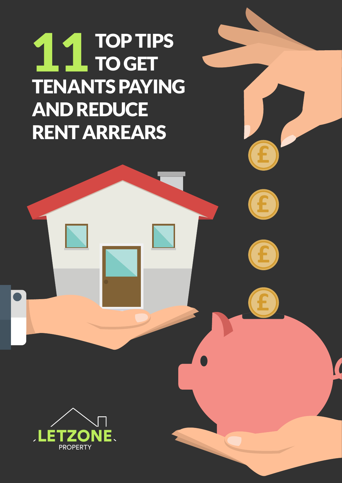## TOP TIPS TO GET TENANTS PAYING AND REDUCE RENT ARREARS 11



0208 313 9075 | lettings@letzone.com | www.letzone.com

**£**

**£**

**£**

**£**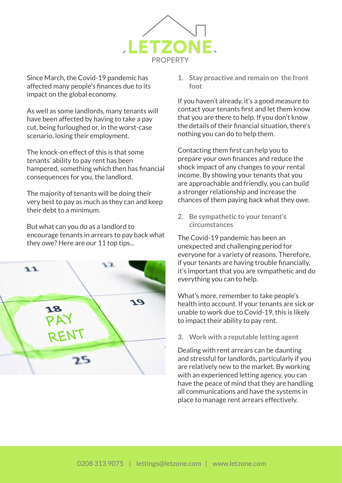

Since March, the Covid-19 pandemic has affected many people's finances due to its impact on the global economy.

As well as some landlords, many tenants will have been affected by having to take a pay cut, being furloughed or, in the worst-case scenario, losing their employment.

The knock-on effect of this is that some tenants' ability to pay rent has been hampered, something which then has financial consequences for you, the landlord.

The majority of tenants will be doing their very best to pay as much as they can and keep their debt to a minimum.

But what can you do as a landlord to encourage tenants in arrears to pay back what they owe? Here are our 11 top tips...



**1. Stay proactive and remain on the front foot**

If you haven't already, it's a good measure to contact your tenants first and let them know that you are there to help. If you don't know the details of their financial situation, there's nothing you can do to help them.

Contacting them first can help you to prepare your own finances and reduce the shock impact of any changes to your rental income. By showing your tenants that you are approachable and friendly, you can build a stronger relationship and increase the chances of them paying back what they owe.

**2. Be sympathetic to your tenant's circumstances**

The Covid-19 pandemic has been an unexpected and challenging period for everyone for a variety of reasons. Therefore, if your tenants are having trouble financially, it's important that you are sympathetic and do everything you can to help.

What's more, remember to take people's health into account. If your tenants are sick or unable to work due to Covid-19, this is likely to impact their ability to pay rent.

**3. Work with a reputable letting agent**

Dealing with rent arrears can be daunting and stressful for landlords, particularly if you are relatively new to the market. By working with an experienced letting agency, you can have the peace of mind that they are handling all communications and have the systems in place to manage rent arrears effectively.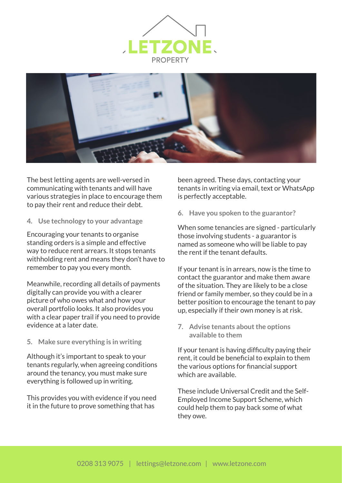



The best letting agents are well-versed in communicating with tenants and will have various strategies in place to encourage them to pay their rent and reduce their debt.

**4. Use technology to your advantage**

Encouraging your tenants to organise standing orders is a simple and effective way to reduce rent arrears. It stops tenants withholding rent and means they don't have to remember to pay you every month.

Meanwhile, recording all details of payments digitally can provide you with a clearer picture of who owes what and how your overall portfolio looks. It also provides you with a clear paper trail if you need to provide evidence at a later date.

**5. Make sure everything is in writing**

Although it's important to speak to your tenants regularly, when agreeing conditions around the tenancy, you must make sure everything is followed up in writing.

This provides you with evidence if you need it in the future to prove something that has

been agreed. These days, contacting your tenants in writing via email, text or WhatsApp is perfectly acceptable.

**6. Have you spoken to the guarantor?**

When some tenancies are signed - particularly those involving students - a guarantor is named as someone who will be liable to pay the rent if the tenant defaults.

If your tenant is in arrears, now is the time to contact the guarantor and make them aware of the situation. They are likely to be a close friend or family member, so they could be in a better position to encourage the tenant to pay up, especially if their own money is at risk.

**7. Advise tenants about the options available to them**

If your tenant is having difficulty paying their rent, it could be beneficial to explain to them the various options for financial support which are available.

These include Universal Credit and the Self-Employed Income Support Scheme, which could help them to pay back some of what they owe.